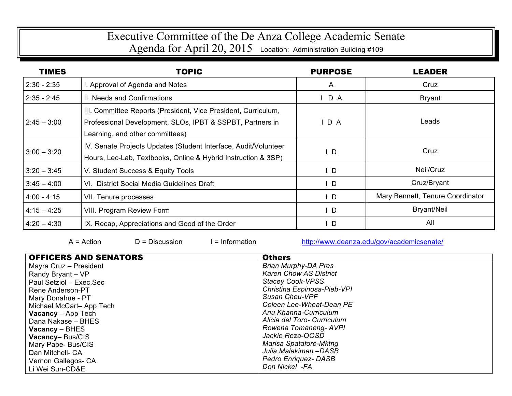## Executive Committee of the De Anza College Academic Senate

|  | Agenda for April 20, 2015 Location: Administration Building #109 |
|--|------------------------------------------------------------------|
|--|------------------------------------------------------------------|

| <b>TIMES</b>  | <b>TOPIC</b>                                                                                                                                                   | <b>PURPOSE</b> | LEADER                           |
|---------------|----------------------------------------------------------------------------------------------------------------------------------------------------------------|----------------|----------------------------------|
| $2:30 - 2:35$ | I. Approval of Agenda and Notes                                                                                                                                | $\mathsf{A}$   | Cruz                             |
| $2:35 - 2:45$ | II. Needs and Confirmations                                                                                                                                    | $I$ D A        | <b>Bryant</b>                    |
| $2:45 - 3:00$ | III. Committee Reports (President, Vice President, Curriculum,<br>Professional Development, SLOs, IPBT & SSPBT, Partners in<br>Learning, and other committees) | D A            | Leads                            |
| $3:00 - 3:20$ | IV. Senate Projects Updates (Student Interface, Audit/Volunteer<br>Hours, Lec-Lab, Textbooks, Online & Hybrid Instruction & 3SP)                               | $\mathsf{L}$   | Cruz                             |
| $3:20 - 3:45$ | V. Student Success & Equity Tools                                                                                                                              | $\mathsf{L}$   | Neil/Cruz                        |
| $3:45 - 4:00$ | VI. District Social Media Guidelines Draft                                                                                                                     | $\mathsf{I}$ D | Cruz/Bryant                      |
| $4:00 - 4:15$ | VII. Tenure processes                                                                                                                                          | $\mathsf{L}$   | Mary Bennett, Tenure Coordinator |
| $4:15 - 4:25$ | <b>VIII. Program Review Form</b>                                                                                                                               | $\mathsf{L}$   | <b>Bryant/Neil</b>               |
| $4:20 - 4:30$ | IX. Recap, Appreciations and Good of the Order                                                                                                                 | $\mathsf{I}$ D | All                              |

A = Action  $D =$  Discussion I = Information http://www.deanza.edu/gov/academicsenate/

| <b>OFFICERS AND SENATORS</b> | <b>Others</b>                 |
|------------------------------|-------------------------------|
| Mayra Cruz - President       | <b>Brian Murphy-DA Pres</b>   |
| Randy Bryant - VP            | <b>Karen Chow AS District</b> |
| Paul Setziol - Exec.Sec      | <b>Stacey Cook-VPSS</b>       |
| Rene Anderson-PT             | Christina Espinosa-Pieb-VPI   |
| Mary Donahue - PT            | Susan Cheu-VPF                |
| Michael McCart-App Tech      | Coleen Lee-Wheat-Dean PE      |
| <b>Vacancy</b> – App Tech    | Anu Khanna-Curriculum         |
| Dana Nakase - BHES           | Alicia del Toro- Curriculum   |
| $Vacancy - BHES$             | Rowena Tomaneng- AVPI         |
| Vacancy-Bus/CIS              | Jackie Reza-OOSD              |
| Mary Pape- Bus/CIS           | Marisa Spatafore-Mktng        |
| Dan Mitchell- CA             | Julia Malakiman -DASB         |
| Vernon Gallegos- CA          | <b>Pedro Enriquez-DASB</b>    |
| Li Wei Sun-CD&E              | Don Nickel -FA                |